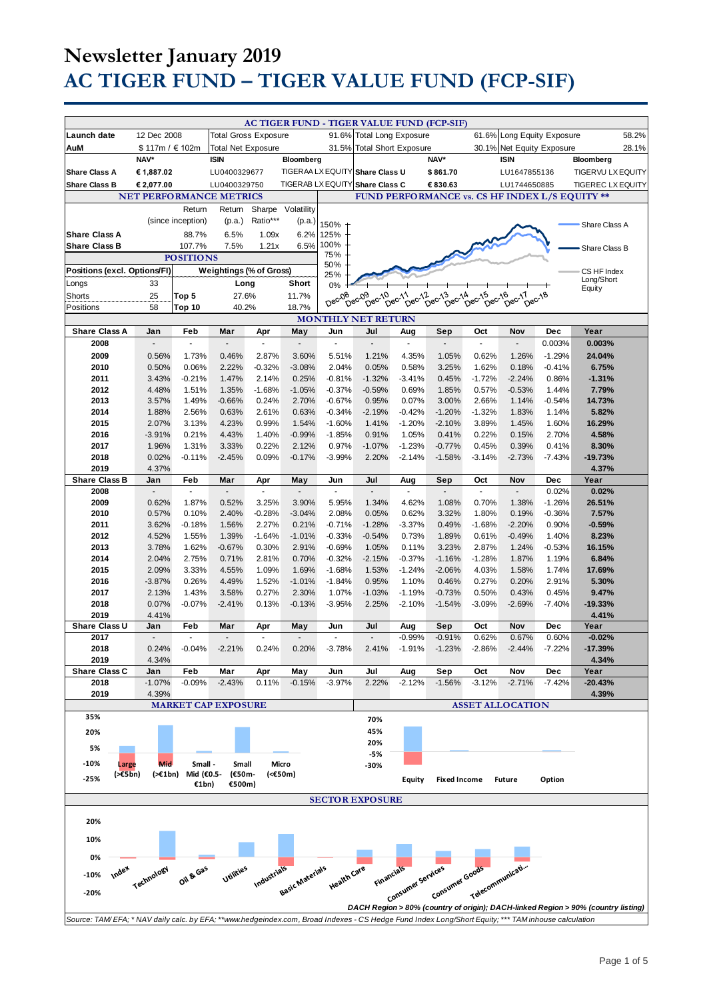|                                                                                                                                                     |                          |                               |                             |                   |                   |                      | <b>AC TIGER FUND - TIGER VALUE FUND (FCP-SIF)</b> |                             |                                              |                  |                            |                   |                                                                                   |       |
|-----------------------------------------------------------------------------------------------------------------------------------------------------|--------------------------|-------------------------------|-----------------------------|-------------------|-------------------|----------------------|---------------------------------------------------|-----------------------------|----------------------------------------------|------------------|----------------------------|-------------------|-----------------------------------------------------------------------------------|-------|
| Launch date                                                                                                                                         | 12 Dec 2008              |                               | <b>Total Gross Exposure</b> |                   |                   |                      | 91.6% Total Long Exposure                         |                             |                                              |                  | 61.6% Long Equity Exposure |                   |                                                                                   | 58.2% |
| AuM                                                                                                                                                 | \$117m / €102m           |                               | <b>Total Net Exposure</b>   |                   |                   | 31.5%                |                                                   | <b>Total Short Exposure</b> |                                              |                  | 30.1% Net Equity Exposure  |                   |                                                                                   | 28.1% |
|                                                                                                                                                     | NAV*                     |                               | <b>ISIN</b>                 |                   | Bloomberg         |                      |                                                   |                             | NAV*                                         |                  | <b>ISIN</b>                |                   | Bloomberg                                                                         |       |
| <b>Share Class A</b>                                                                                                                                | € 1,887.02               |                               | LU0400329677                |                   |                   | TIGERAA LX EQUITY    | Share Class U                                     |                             | \$861.70                                     |                  | LU1647855136               |                   | TIGERVU LX EQUITY                                                                 |       |
| <b>Share Class B</b>                                                                                                                                | € 2,077.00               |                               | LU0400329750                |                   | TIGERAB LX EQUITY |                      | <b>Share Class C</b>                              |                             | € 830.63                                     |                  | LU1744650885               |                   | <b>TIGEREC LX EQUITY</b>                                                          |       |
|                                                                                                                                                     |                          |                               |                             |                   |                   |                      |                                                   |                             |                                              |                  |                            |                   |                                                                                   |       |
| <b>NET PERFORMANCE METRICS</b><br>FUND PERFORMANCE vs. CS HF INDEX L/S EQUITY **<br>Sharpe<br>Volatility<br>Return<br>Return                        |                          |                               |                             |                   |                   |                      |                                                   |                             |                                              |                  |                            |                   |                                                                                   |       |
|                                                                                                                                                     |                          | (since inception)             | (p.a.)                      | Ratio***          | (p.a.)            |                      |                                                   |                             |                                              |                  |                            |                   |                                                                                   |       |
| <b>Share Class A</b>                                                                                                                                |                          | 88.7%                         | 6.5%                        | 1.09x             | 6.2%              | 150%                 |                                                   |                             |                                              |                  |                            |                   | Share Class A                                                                     |       |
| <b>Share Class B</b>                                                                                                                                |                          | 107.7%                        | 7.5%                        | 1.21x             | 6.5%              | 125%<br>100%         |                                                   |                             |                                              |                  |                            |                   |                                                                                   |       |
| Share Class B<br>75%<br><b>POSITIONS</b>                                                                                                            |                          |                               |                             |                   |                   |                      |                                                   |                             |                                              |                  |                            |                   |                                                                                   |       |
| Weightings (% of Gross)<br>Positions (excl. Options/FI)                                                                                             |                          |                               |                             |                   | 50%               |                      |                                                   |                             |                                              |                  |                            | CS HF Index       |                                                                                   |       |
| Longs                                                                                                                                               | 33                       |                               | Long                        |                   | Short             | 25%                  |                                                   |                             |                                              |                  |                            |                   | Long/Short                                                                        |       |
| Shorts                                                                                                                                              | 25                       | Top 5                         | 27.6%                       |                   | 11.7%             | 0%                   |                                                   |                             |                                              |                  |                            |                   | Equity                                                                            |       |
| Positions                                                                                                                                           | 58                       | Top 10                        | 40.2%                       |                   | 18.7%             | Dec-08               | Dec-09<br>Dec-10                                  | Dec-11<br>Dec-12            | $\theta^{\text{ec}}$ <sup>13</sup><br>Dec-14 | Dec-15<br>Dec-16 | De <sup>CT</sup><br>Dec-18 |                   |                                                                                   |       |
|                                                                                                                                                     |                          |                               |                             |                   |                   |                      | <b>MONTHLY NET RETURN</b>                         |                             |                                              |                  |                            |                   |                                                                                   |       |
| <b>Share Class A</b>                                                                                                                                | Jan                      | Feb                           | Mar                         | Apr               | May               | Jun                  | Jul                                               | Aug                         | Sep                                          | Oct              | Nov                        | Dec               | Year                                                                              |       |
| 2008                                                                                                                                                | ÷,                       | ÷,                            | $\overline{a}$              | ä,                | $\blacksquare$    | $\omega$             | $\overline{a}$                                    | $\tilde{\phantom{a}}$       | $\sim$                                       | ä,               | ÷,                         | 0.003%            | 0.003%                                                                            |       |
| 2009                                                                                                                                                | 0.56%                    | 1.73%                         | 0.46%                       | 2.87%             | 3.60%             | 5.51%                | 1.21%                                             | 4.35%                       | 1.05%                                        | 0.62%            | 1.26%                      | $-1.29%$          | 24.04%                                                                            |       |
| 2010                                                                                                                                                | 0.50%                    | 0.06%                         | 2.22%                       | $-0.32%$          | $-3.08%$          | 2.04%                | 0.05%                                             | 0.58%                       | 3.25%                                        | 1.62%            | 0.18%                      | $-0.41%$          | 6.75%                                                                             |       |
| 2011                                                                                                                                                | 3.43%                    | $-0.21%$                      | 1.47%                       | 2.14%             | 0.25%             | $-0.81%$             | $-1.32%$                                          | $-3.41%$                    | 0.45%                                        | $-1.72%$         | $-2.24%$                   | 0.86%             | $-1.31%$                                                                          |       |
| 2012                                                                                                                                                | 4.48%                    | 1.51%                         | 1.35%                       | $-1.68%$          | $-1.05%$          | $-0.37%$             | $-0.59%$                                          | 0.69%                       | 1.85%                                        | 0.57%            | $-0.53%$                   | 1.44%             | 7.79%                                                                             |       |
| 2013                                                                                                                                                | 3.57%                    | 1.49%                         | $-0.66%$                    | 0.24%             | 2.70%             | $-0.67%$             | 0.95%                                             | 0.07%                       | 3.00%                                        | 2.66%            | 1.14%                      | $-0.54%$          | 14.73%                                                                            |       |
| 2014                                                                                                                                                | 1.88%                    | 2.56%                         | 0.63%                       | 2.61%             | 0.63%             | $-0.34%$             | $-2.19%$                                          | $-0.42%$                    | $-1.20%$                                     | $-1.32%$         | 1.83%                      | 1.14%             | 5.82%                                                                             |       |
| 2015<br>2016                                                                                                                                        | 2.07%<br>$-3.91%$        | 3.13%<br>0.21%                | 4.23%<br>4.43%              | 0.99%<br>1.40%    | 1.54%<br>$-0.99%$ | $-1.60%$<br>$-1.85%$ | 1.41%<br>0.91%                                    | $-1.20%$<br>1.05%           | $-2.10%$<br>0.41%                            | 3.89%<br>0.22%   | 1.45%<br>0.15%             | 1.60%<br>2.70%    | 16.29%<br>4.58%                                                                   |       |
| 2017                                                                                                                                                | 1.96%                    | 1.31%                         | 3.33%                       | 0.22%             | 2.12%             | 0.97%                | $-1.07%$                                          | $-1.23%$                    | $-0.77%$                                     | 0.45%            | 0.39%                      | 0.41%             | 8.30%                                                                             |       |
| 2018                                                                                                                                                | 0.02%                    | $-0.11%$                      | $-2.45%$                    | 0.09%             | $-0.17%$          | $-3.99%$             | 2.20%                                             | $-2.14%$                    | $-1.58%$                                     | $-3.14%$         | $-2.73%$                   | $-7.43%$          | $-19.73%$                                                                         |       |
| 2019                                                                                                                                                | 4.37%                    |                               |                             |                   |                   |                      |                                                   |                             |                                              |                  |                            |                   | 4.37%                                                                             |       |
| <b>Share Class B</b>                                                                                                                                | Jan                      | Feb                           | Mar                         | Apr               | May               | Jun                  | Jul                                               | Aug                         | Sep                                          | Oct              | Nov                        | <b>Dec</b>        | Year                                                                              |       |
| 2008                                                                                                                                                |                          |                               |                             | ÷.                |                   | $\omega$             |                                                   |                             |                                              | ä,               |                            | 0.02%             | 0.02%                                                                             |       |
| 2009                                                                                                                                                | 0.62%                    | 1.87%                         | 0.52%                       | 3.25%             | 3.90%             | 5.95%                | 1.34%                                             | 4.62%                       | 1.08%                                        | 0.70%            | 1.38%                      | $-1.26%$          | 26.51%                                                                            |       |
| 2010                                                                                                                                                | 0.57%                    | 0.10%                         | 2.40%                       | $-0.28%$          | $-3.04%$          | 2.08%                | 0.05%                                             | 0.62%                       | 3.32%                                        | 1.80%            | 0.19%                      | $-0.36%$          | 7.57%                                                                             |       |
| 2011                                                                                                                                                | 3.62%                    | $-0.18%$                      | 1.56%                       | 2.27%             | 0.21%             | $-0.71%$             | $-1.28%$                                          | $-3.37%$                    | 0.49%                                        | $-1.68%$         | $-2.20%$                   | 0.90%             | $-0.59%$                                                                          |       |
| 2012<br>2013                                                                                                                                        | 4.52%<br>3.78%           | 1.55%<br>1.62%                | 1.39%<br>$-0.67%$           | $-1.64%$<br>0.30% | $-1.01%$<br>2.91% | $-0.33%$<br>$-0.69%$ | $-0.54%$<br>1.05%                                 | 0.73%<br>0.11%              | 1.89%<br>3.23%                               | 0.61%<br>2.87%   | $-0.49%$<br>1.24%          | 1.40%<br>$-0.53%$ | 8.23%<br>16.15%                                                                   |       |
| 2014                                                                                                                                                | 2.04%                    | 2.75%                         | 0.71%                       | 2.81%             | 0.70%             | $-0.32%$             | $-2.15%$                                          | $-0.37%$                    | $-1.16%$                                     | $-1.28%$         | 1.87%                      | 1.19%             | 6.84%                                                                             |       |
| 2015                                                                                                                                                | 2.09%                    | 3.33%                         | 4.55%                       | 1.09%             | 1.69%             | $-1.68%$             | 1.53%                                             | $-1.24%$                    | $-2.06%$                                     | 4.03%            | 1.58%                      | 1.74%             | 17.69%                                                                            |       |
| 2016                                                                                                                                                | $-3.87%$                 | 0.26%                         | 4.49%                       | 1.52%             | $-1.01%$          | $-1.84%$             | 0.95%                                             | 1.10%                       | 0.46%                                        | 0.27%            | 0.20%                      | 2.91%             | 5.30%                                                                             |       |
| 2017                                                                                                                                                | 2.13%                    | 1.43%                         | 3.58%                       | 0.27%             | 2.30%             | 1.07%                | $-1.03%$                                          | $-1.19%$                    | $-0.73%$                                     | 0.50%            | 0.43%                      | 0.45%             | 9.47%                                                                             |       |
| 2018                                                                                                                                                | 0.07%                    | $-0.07%$                      | $-2.41%$                    | 0.13%             | $-0.13%$          | $-3.95%$             | 2.25%                                             | $-2.10%$                    | $-1.54%$                                     | $-3.09%$         | $-2.69%$                   | $-7.40%$          | $-19.33%$                                                                         |       |
| 2019                                                                                                                                                | 4.41%                    |                               |                             |                   |                   |                      |                                                   |                             |                                              |                  |                            |                   | 4.41%                                                                             |       |
| Share Class U                                                                                                                                       | Jan                      | Feb                           | Mar                         | Apr               | May               | Jun                  | Jul                                               | Aug                         | Sep                                          | Oct              | Nov                        | Dec               | Year                                                                              |       |
| 2017                                                                                                                                                | $\overline{\phantom{a}}$ | $\sim$                        |                             | $\sim$            | $\blacksquare$    | $\sim$               | $\overline{\phantom{a}}$                          | $-0.99%$                    | $-0.91%$                                     | 0.62%            | 0.67%                      | 0.60%             | $-0.02%$                                                                          |       |
| 2018<br>2019                                                                                                                                        | 0.24%<br>4.34%           | $-0.04%$                      | $-2.21%$                    | 0.24%             | 0.20%             | $-3.78%$             | 2.41%                                             | $-1.91%$                    | $-1.23%$                                     | $-2.86%$         | $-2.44%$                   | $-7.22%$          | -17.39%<br>4.34%                                                                  |       |
| <b>Share Class C</b>                                                                                                                                | Jan                      | Feb                           | Mar                         | Apr               | May               | Jun                  | Jul                                               | Aug                         | Sep                                          | Oct              | Nov                        | Dec               | Year                                                                              |       |
| 2018                                                                                                                                                | $-1.07%$                 | $-0.09%$                      | $-2.43%$                    | 0.11%             | $-0.15%$          | $-3.97%$             | 2.22%                                             | $-2.12%$                    | $-1.56%$                                     | $-3.12%$         | $-2.71%$                   | $-7.42%$          | $-20.43%$                                                                         |       |
| 2019                                                                                                                                                | 4.39%                    |                               |                             |                   |                   |                      |                                                   |                             |                                              |                  |                            |                   | 4.39%                                                                             |       |
|                                                                                                                                                     |                          |                               | <b>MARKET CAP EXPOSURE</b>  |                   |                   |                      |                                                   |                             |                                              |                  | <b>ASSET ALLOCATION</b>    |                   |                                                                                   |       |
| 35%                                                                                                                                                 |                          |                               |                             |                   |                   |                      | 70%                                               |                             |                                              |                  |                            |                   |                                                                                   |       |
| 20%                                                                                                                                                 |                          |                               |                             |                   |                   |                      | 45%                                               |                             |                                              |                  |                            |                   |                                                                                   |       |
| 5%                                                                                                                                                  |                          |                               |                             |                   |                   |                      | 20%                                               |                             |                                              |                  |                            |                   |                                                                                   |       |
|                                                                                                                                                     |                          |                               |                             |                   |                   |                      | -5%                                               |                             |                                              |                  |                            |                   |                                                                                   |       |
| $-10%$<br>Large<br>(565)                                                                                                                            | <b>Mid</b>               | Small -<br>(>€1bn) Mid (€0.5- | Small<br>(€50m-             |                   | Micro<br>(<€50m)  |                      | -30%                                              |                             |                                              |                  |                            |                   |                                                                                   |       |
| $-25%$                                                                                                                                              |                          | €1bn)                         | €500m)                      |                   |                   |                      |                                                   | Equity                      | <b>Fixed Income</b>                          |                  | <b>Future</b>              | Option            |                                                                                   |       |
|                                                                                                                                                     |                          |                               |                             |                   |                   |                      |                                                   |                             |                                              |                  |                            |                   |                                                                                   |       |
|                                                                                                                                                     |                          |                               |                             |                   |                   |                      | <b>SECTOR EXPOSURE</b>                            |                             |                                              |                  |                            |                   |                                                                                   |       |
| 20%                                                                                                                                                 |                          |                               |                             |                   |                   |                      |                                                   |                             |                                              |                  |                            |                   |                                                                                   |       |
|                                                                                                                                                     |                          |                               |                             |                   |                   |                      |                                                   |                             |                                              |                  |                            |                   |                                                                                   |       |
| 10%                                                                                                                                                 |                          |                               |                             |                   |                   |                      |                                                   |                             |                                              |                  |                            |                   |                                                                                   |       |
| 0%                                                                                                                                                  |                          |                               |                             |                   |                   |                      |                                                   |                             |                                              |                  |                            |                   |                                                                                   |       |
| Index<br>$-10%$                                                                                                                                     |                          | Oil & Gas                     | Utilities                   | Industrials       |                   |                      |                                                   |                             |                                              |                  |                            |                   |                                                                                   |       |
|                                                                                                                                                     | Technology               |                               |                             |                   | Basic Materials   | Health Care          | Financials                                        |                             |                                              |                  |                            |                   |                                                                                   |       |
| -20%                                                                                                                                                |                          |                               |                             |                   |                   |                      |                                                   | Consumer services           | Consumer Goods                               | Telecommunicati  |                            |                   |                                                                                   |       |
|                                                                                                                                                     |                          |                               |                             |                   |                   |                      |                                                   |                             |                                              |                  |                            |                   | DACH Region > 80% (country of origin); DACH-linked Region > 90% (country listing) |       |
| Source: TAM/EFA: * NAV daily calc. by EFA; **www.hedgeindex.com, Broad Indexes - CS Hedge Fund Index Long/Short Equity; *** TAM inhouse calculation |                          |                               |                             |                   |                   |                      |                                                   |                             |                                              |                  |                            |                   |                                                                                   |       |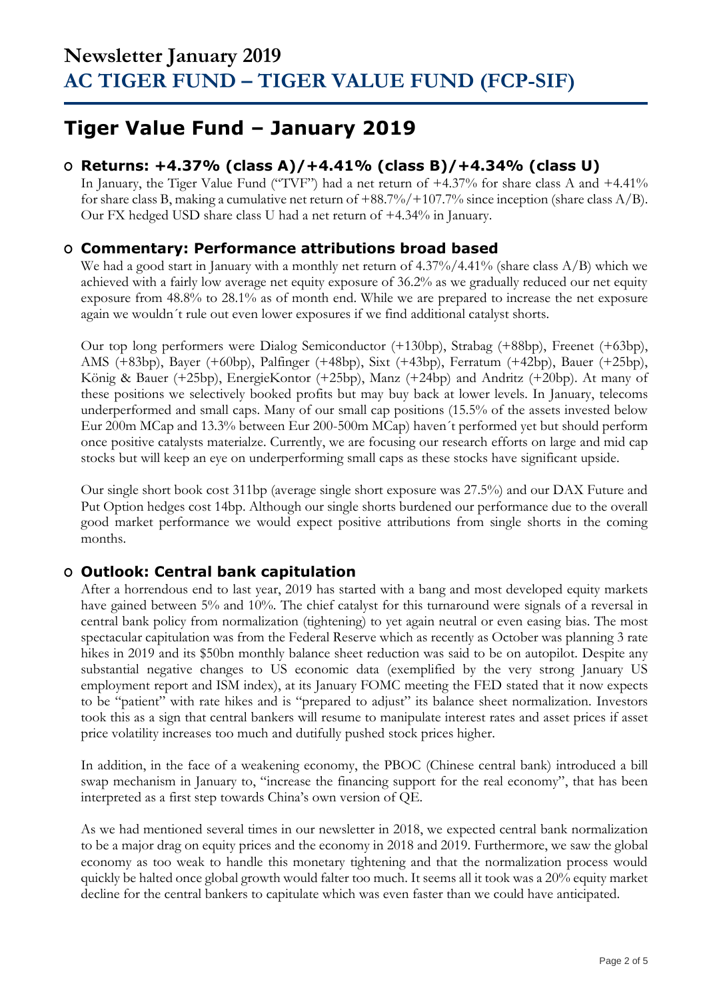### **Tiger Value Fund – January 2019**

### **O Returns: +4.37% (class A)/+4.41% (class B)/+4.34% (class U)**

In January, the Tiger Value Fund ("TVF") had a net return of +4.37% for share class A and +4.41% for share class B, making a cumulative net return of +88.7%/+107.7% since inception (share class A/B). Our FX hedged USD share class U had a net return of +4.34% in January.

#### **O Commentary: Performance attributions broad based**

We had a good start in January with a monthly net return of 4.37%/4.41% (share class A/B) which we achieved with a fairly low average net equity exposure of 36.2% as we gradually reduced our net equity exposure from 48.8% to 28.1% as of month end. While we are prepared to increase the net exposure again we wouldn´t rule out even lower exposures if we find additional catalyst shorts.

Our top long performers were Dialog Semiconductor (+130bp), Strabag (+88bp), Freenet (+63bp), AMS (+83bp), Bayer (+60bp), Palfinger (+48bp), Sixt (+43bp), Ferratum (+42bp), Bauer (+25bp), König & Bauer (+25bp), EnergieKontor (+25bp), Manz (+24bp) and Andritz (+20bp). At many of these positions we selectively booked profits but may buy back at lower levels. In January, telecoms underperformed and small caps. Many of our small cap positions (15.5% of the assets invested below Eur 200m MCap and 13.3% between Eur 200-500m MCap) haven´t performed yet but should perform once positive catalysts materialze. Currently, we are focusing our research efforts on large and mid cap stocks but will keep an eye on underperforming small caps as these stocks have significant upside.

Our single short book cost 311bp (average single short exposure was 27.5%) and our DAX Future and Put Option hedges cost 14bp. Although our single shorts burdened our performance due to the overall good market performance we would expect positive attributions from single shorts in the coming months.

### **O Outlook: Central bank capitulation**

After a horrendous end to last year, 2019 has started with a bang and most developed equity markets have gained between 5% and 10%. The chief catalyst for this turnaround were signals of a reversal in central bank policy from normalization (tightening) to yet again neutral or even easing bias. The most spectacular capitulation was from the Federal Reserve which as recently as October was planning 3 rate hikes in 2019 and its \$50bn monthly balance sheet reduction was said to be on autopilot. Despite any substantial negative changes to US economic data (exemplified by the very strong January US employment report and ISM index), at its January FOMC meeting the FED stated that it now expects to be "patient" with rate hikes and is "prepared to adjust" its balance sheet normalization. Investors took this as a sign that central bankers will resume to manipulate interest rates and asset prices if asset price volatility increases too much and dutifully pushed stock prices higher.

In addition, in the face of a weakening economy, the PBOC (Chinese central bank) introduced a bill swap mechanism in January to, "increase the financing support for the real economy", that has been interpreted as a first step towards China's own version of QE.

As we had mentioned several times in our newsletter in 2018, we expected central bank normalization to be a major drag on equity prices and the economy in 2018 and 2019. Furthermore, we saw the global economy as too weak to handle this monetary tightening and that the normalization process would quickly be halted once global growth would falter too much. It seems all it took was a 20% equity market decline for the central bankers to capitulate which was even faster than we could have anticipated.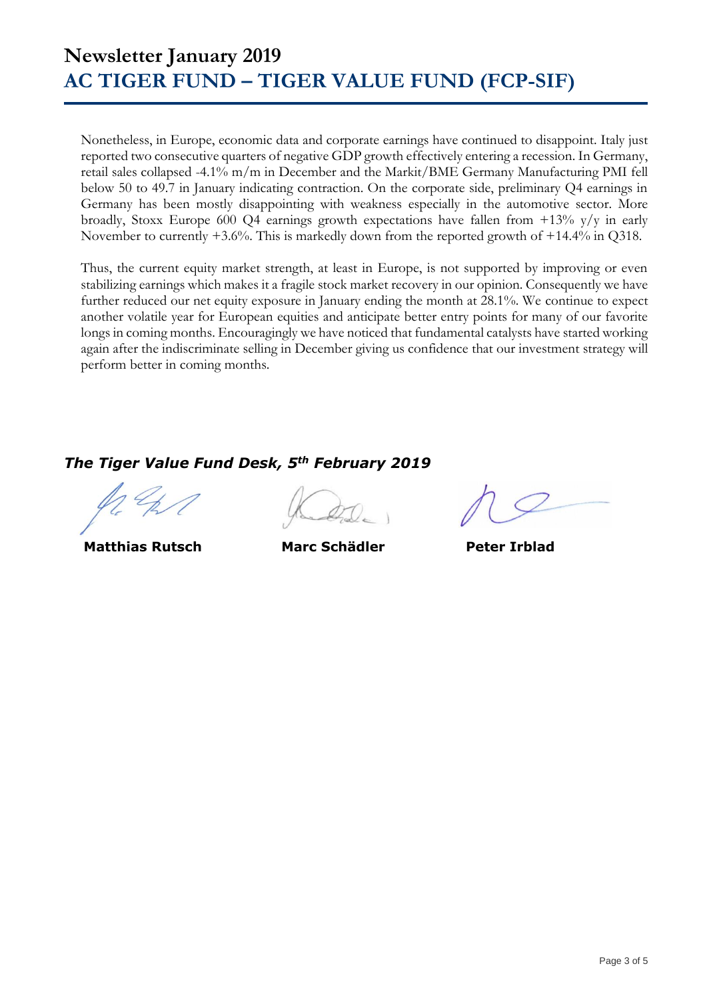Nonetheless, in Europe, economic data and corporate earnings have continued to disappoint. Italy just reported two consecutive quarters of negative GDP growth effectively entering a recession. In Germany, retail sales collapsed -4.1% m/m in December and the Markit/BME Germany Manufacturing PMI fell below 50 to 49.7 in January indicating contraction. On the corporate side, preliminary Q4 earnings in Germany has been mostly disappointing with weakness especially in the automotive sector. More broadly, Stoxx Europe 600 Q4 earnings growth expectations have fallen from +13% y/y in early November to currently +3.6%. This is markedly down from the reported growth of +14.4% in Q318.

Thus, the current equity market strength, at least in Europe, is not supported by improving or even stabilizing earnings which makes it a fragile stock market recovery in our opinion. Consequently we have further reduced our net equity exposure in January ending the month at 28.1%. We continue to expect another volatile year for European equities and anticipate better entry points for many of our favorite longs in coming months. Encouragingly we have noticed that fundamental catalysts have started working again after the indiscriminate selling in December giving us confidence that our investment strategy will perform better in coming months.

*The Tiger Value Fund Desk, 5th February 2019*

 **Matthias Rutsch Marc Schädler Peter Irblad**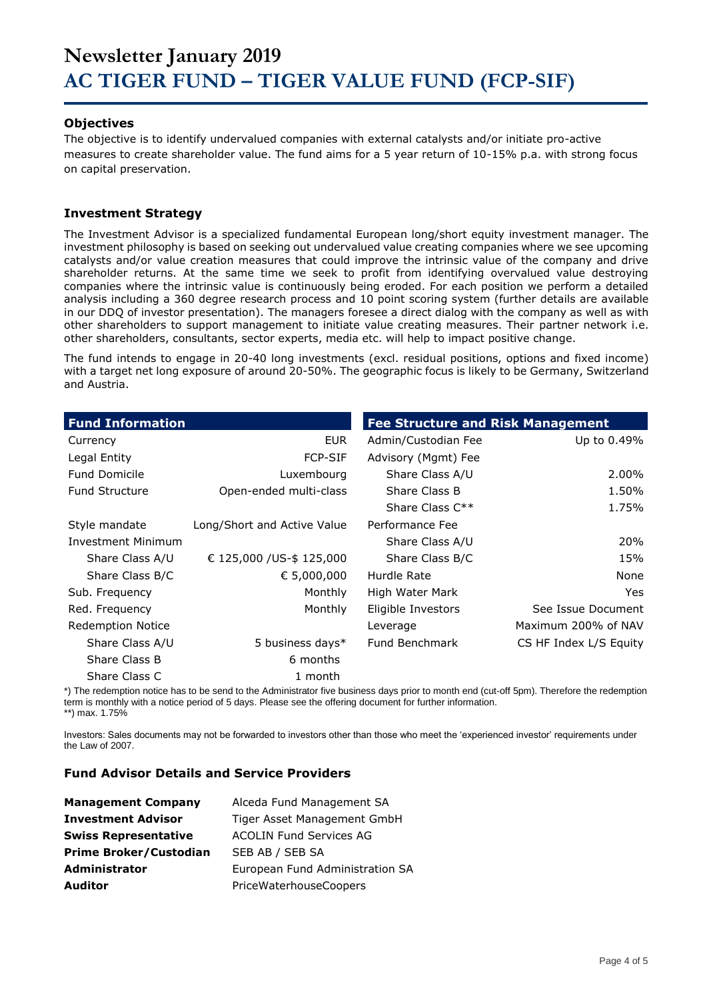#### **Objectives**

The objective is to identify undervalued companies with external catalysts and/or initiate pro-active measures to create shareholder value. The fund aims for a 5 year return of 10-15% p.a. with strong focus on capital preservation.

#### **Investment Strategy**

The Investment Advisor is a specialized fundamental European long/short equity investment manager. The investment philosophy is based on seeking out undervalued value creating companies where we see upcoming catalysts and/or value creation measures that could improve the intrinsic value of the company and drive shareholder returns. At the same time we seek to profit from identifying overvalued value destroying companies where the intrinsic value is continuously being eroded. For each position we perform a detailed analysis including a 360 degree research process and 10 point scoring system (further details are available in our DDQ of investor presentation). The managers foresee a direct dialog with the company as well as with other shareholders to support management to initiate value creating measures. Their partner network i.e. other shareholders, consultants, sector experts, media etc. will help to impact positive change.

The fund intends to engage in 20-40 long investments (excl. residual positions, options and fixed income) with a target net long exposure of around 20-50%. The geographic focus is likely to be Germany, Switzerland and Austria.

| <b>Fund Information</b>   |                             | <b>Fee Structure and Risk Management</b> |                        |
|---------------------------|-----------------------------|------------------------------------------|------------------------|
| Currency                  | EUR.                        | Admin/Custodian Fee                      | Up to 0.49%            |
| Legal Entity              | <b>FCP-SIF</b>              | Advisory (Mgmt) Fee                      |                        |
| <b>Fund Domicile</b>      | Luxembourg                  | Share Class A/U                          | 2.00%                  |
| <b>Fund Structure</b>     | Open-ended multi-class      | Share Class B                            | 1.50%                  |
|                           |                             | Share Class $C^{**}$                     | 1.75%                  |
| Style mandate             | Long/Short and Active Value | Performance Fee                          |                        |
| <b>Investment Minimum</b> |                             | Share Class A/U                          | 20%                    |
| Share Class A/U           | € 125,000 /US-\$ 125,000    | Share Class B/C                          | 15%                    |
| Share Class B/C           | € 5,000,000                 | Hurdle Rate                              | None                   |
| Sub. Frequency            | Monthly                     | High Water Mark                          | Yes.                   |
| Red. Frequency            | Monthly                     | Eligible Investors                       | See Issue Document     |
| <b>Redemption Notice</b>  |                             | Leverage                                 | Maximum 200% of NAV    |
| Share Class A/U           | 5 business days*            | <b>Fund Benchmark</b>                    | CS HF Index L/S Equity |
| Share Class B             | 6 months                    |                                          |                        |
| Share Class C             | 1 month                     |                                          |                        |

\*) The redemption notice has to be send to the Administrator five business days prior to month end (cut-off 5pm). Therefore the redemption term is monthly with a notice period of 5 days. Please see the offering document for further information. \*\*) max. 1.75%

Investors: Sales documents may not be forwarded to investors other than those who meet the 'experienced investor' requirements under the Law of 2007.

#### **Fund Advisor Details and Service Providers**

| <b>Management Company</b>     | Alceda Fund Management SA       |
|-------------------------------|---------------------------------|
| <b>Investment Advisor</b>     | Tiger Asset Management GmbH     |
| <b>Swiss Representative</b>   | <b>ACOLIN Fund Services AG</b>  |
| <b>Prime Broker/Custodian</b> | SEB AB / SEB SA                 |
| <b>Administrator</b>          | European Fund Administration SA |
| <b>Auditor</b>                | PriceWaterhouseCoopers          |